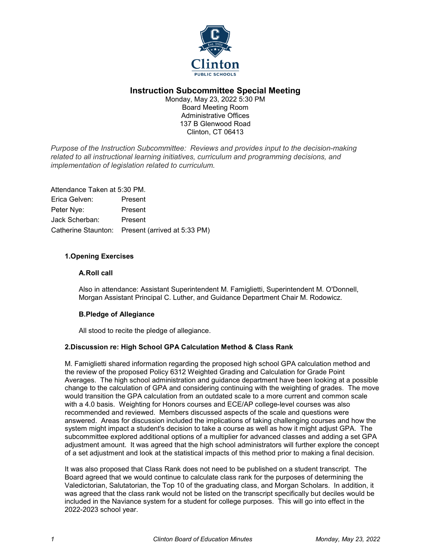

# **Instruction Subcommittee Special Meeting**

Monday, May 23, 2022 5:30 PM Board Meeting Room Administrative Offices 137 B Glenwood Road Clinton, CT 06413

*Purpose of the Instruction Subcommittee: Reviews and provides input to the decision-making related to all instructional learning initiatives, curriculum and programming decisions, and implementation of legislation related to curriculum.*

Attendance Taken at 5:30 PM. Erica Gelven: Present Peter Nye: Present Jack Scherban: Present Catherine Staunton: Present (arrived at 5:33 PM)

# **1.Opening Exercises**

#### **A.Roll call**

Also in attendance: Assistant Superintendent M. Famiglietti, Superintendent M. O'Donnell, Morgan Assistant Principal C. Luther, and Guidance Department Chair M. Rodowicz.

# **B.Pledge of Allegiance**

All stood to recite the pledge of allegiance.

# **2.Discussion re: High School GPA Calculation Method & Class Rank**

M. Famiglietti shared information regarding the proposed high school GPA calculation method and the review of the proposed Policy 6312 Weighted Grading and Calculation for Grade Point Averages. The high school administration and guidance department have been looking at a possible change to the calculation of GPA and considering continuing with the weighting of grades. The move would transition the GPA calculation from an outdated scale to a more current and common scale with a 4.0 basis. Weighting for Honors courses and ECE/AP college-level courses was also recommended and reviewed. Members discussed aspects of the scale and questions were answered. Areas for discussion included the implications of taking challenging courses and how the system might impact a student's decision to take a course as well as how it might adjust GPA. The subcommittee explored additional options of a multiplier for advanced classes and adding a set GPA adjustment amount. It was agreed that the high school administrators will further explore the concept of a set adjustment and look at the statistical impacts of this method prior to making a final decision.

It was also proposed that Class Rank does not need to be published on a student transcript. The Board agreed that we would continue to calculate class rank for the purposes of determining the Valedictorian, Salutatorian, the Top 10 of the graduating class, and Morgan Scholars. In addition, it was agreed that the class rank would not be listed on the transcript specifically but deciles would be included in the Naviance system for a student for college purposes. This will go into effect in the 2022-2023 school year.